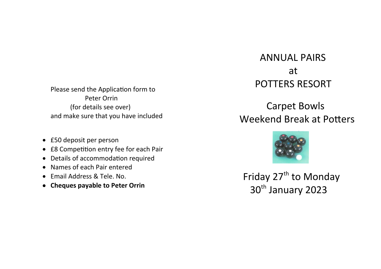Please send the Application form to Peter Orrin (for details see over) and make sure that you have included

- £50 deposit per person
- £8 Competition entry fee for each Pair
- Details of accommodation required
- Names of each Pair entered
- Email Address & Tele. No.
- **Cheques payable to Peter Orrin**

# ANNUAL PAIRS at POTTERS RESORT

## Carpet Bowls Weekend Break at Potters



Friday 27<sup>th</sup> to Monday 30<sup>th</sup> January 2023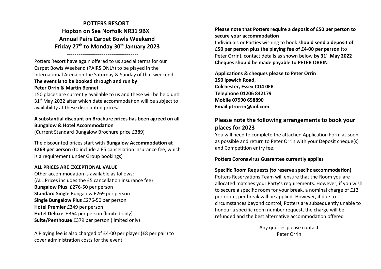**POTTERS RESORT Hopton on Sea Norfolk NR31 9BX Annual Pairs Carpet Bowls Weekend Friday 27th to Monday 30th January 2023**

Potters Resort have again offered to us special terms for our Carpet Bowls Weekend (PAIRS ONLY) to be played in the International Arena on the Saturday & Sunday of that weekend **The event is to be booked through and run by Peter Orrin & Martin Bennet**

**-------------------------------------**

150 places are currently available to us and these will be held until 31<sup>st</sup> May 2022 after which date accommodation will be subject to availability at these discounted prices**.** 

#### **A substantial discount on Brochure prices has been agreed on all Bungalow & Hotel Accommodation**

(Current Standard Bungalow Brochure price £389)

The discounted prices start with **Bungalow Accommodation at £269 per person** (to include a £5 cancellation insurance fee, which is a requirement under Group bookings)

#### **ALL PRICES ARE EXCEPTIONAL VALUE**

Other accommodation is available as follows: (ALL Prices includes the £5 cancellation insurance fee) **Bungalow Plus** £276-50 per person **Standard Single** Bungalow £269 per person **Single Bungalow Plus** £276-50 per person **Hotel Premier** £349 per person **Hotel Deluxe** £364 per person (limited only) **Suite/Penthouse** £379 per person (limited only)

A Playing fee is also charged of £4-00 per player (£8 per pair) to cover administration costs for the event

**Please note that Potters require a deposit of £50 per person to secure your accommodation**

Individuals or Parties wishing to book **should send a deposit of £50 per person plus the playing fee of £4-00 per person** (to Peter Orrin), contact details as shown below **by 31st May 2022 Cheques should be made payable to PETER ORRIN**

**Applications & cheques please to Peter Orrin 250 Ipswich Road, Colchester, Essex CO4 0ER Telephone 01206 842179 Mobile 07990 658890 Email ptrorrin@aol.com**

## **Please note the following arrangements to book your places for 2023**

You will need to complete the attached Application Form as soon as possible and return to Peter Orrin with your Deposit cheque(s) and Competition entry fee.

#### **Potters Coronavirus Guarantee currently applies**

#### **Specific Room Requests (to reserve specific accommodation)**

Potters Reservations Team will ensure that the Room you are allocated matches your Party's requirements. However, if you wish to secure a specific room for your break, a nominal charge of £12 per room, per break will be applied. However, if due to circumstances beyond control, Potters are subsequently unable to honour a specific room number request, the charge will be refunded and the best alternative accommodation offered

> Any queries please contact Peter Orrin